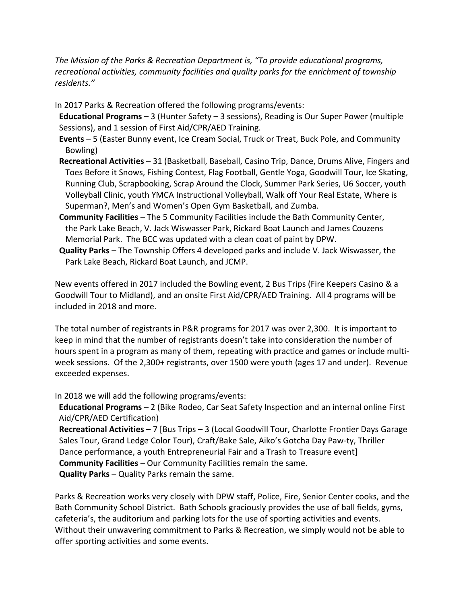*The Mission of the Parks & Recreation Department is, "To provide educational programs, recreational activities, community facilities and quality parks for the enrichment of township residents."* 

In 2017 Parks & Recreation offered the following programs/events:

 **Educational Programs** – 3 (Hunter Safety – 3 sessions), Reading is Our Super Power (multiple Sessions), and 1 session of First Aid/CPR/AED Training.

- **Events** 5 (Easter Bunny event, Ice Cream Social, Truck or Treat, Buck Pole, and Community Bowling)
- **Recreational Activities** 31 (Basketball, Baseball, Casino Trip, Dance, Drums Alive, Fingers and Toes Before it Snows, Fishing Contest, Flag Football, Gentle Yoga, Goodwill Tour, Ice Skating, Running Club, Scrapbooking, Scrap Around the Clock, Summer Park Series, U6 Soccer, youth Volleyball Clinic, youth YMCA Instructional Volleyball, Walk off Your Real Estate, Where is Superman?, Men's and Women's Open Gym Basketball, and Zumba.
- **Community Facilities** The 5 Community Facilities include the Bath Community Center, the Park Lake Beach, V. Jack Wiswasser Park, Rickard Boat Launch and James Couzens Memorial Park. The BCC was updated with a clean coat of paint by DPW.
- **Quality Parks** The Township Offers 4 developed parks and include V. Jack Wiswasser, the Park Lake Beach, Rickard Boat Launch, and JCMP.

New events offered in 2017 included the Bowling event, 2 Bus Trips (Fire Keepers Casino & a Goodwill Tour to Midland), and an onsite First Aid/CPR/AED Training. All 4 programs will be included in 2018 and more.

The total number of registrants in P&R programs for 2017 was over 2,300. It is important to keep in mind that the number of registrants doesn't take into consideration the number of hours spent in a program as many of them, repeating with practice and games or include multiweek sessions. Of the 2,300+ registrants, over 1500 were youth (ages 17 and under). Revenue exceeded expenses.

In 2018 we will add the following programs/events:

**Educational Programs** – 2 (Bike Rodeo, Car Seat Safety Inspection and an internal online First Aid/CPR/AED Certification)

 **Recreational Activities** – 7 [Bus Trips – 3 (Local Goodwill Tour, Charlotte Frontier Days Garage Sales Tour, Grand Ledge Color Tour), Craft/Bake Sale, Aiko's Gotcha Day Paw-ty, Thriller Dance performance, a youth Entrepreneurial Fair and a Trash to Treasure event] **Community Facilities** – Our Community Facilities remain the same. **Quality Parks** – Quality Parks remain the same.

Parks & Recreation works very closely with DPW staff, Police, Fire, Senior Center cooks, and the Bath Community School District. Bath Schools graciously provides the use of ball fields, gyms, cafeteria's, the auditorium and parking lots for the use of sporting activities and events. Without their unwavering commitment to Parks & Recreation, we simply would not be able to offer sporting activities and some events.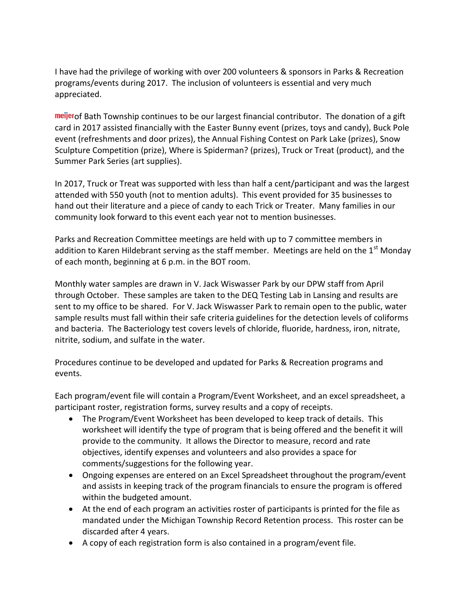I have had the privilege of working with over 200 volunteers & sponsors in Parks & Recreation programs/events during 2017. The inclusion of volunteers is essential and very much appreciated.

**neijer** of Bath Township continues to be our largest financial contributor. The donation of a gift card in 2017 assisted financially with the Easter Bunny event (prizes, toys and candy), Buck Pole event (refreshments and door prizes), the Annual Fishing Contest on Park Lake (prizes), Snow Sculpture Competition (prize), Where is Spiderman? (prizes), Truck or Treat (product), and the Summer Park Series (art supplies).

In 2017, Truck or Treat was supported with less than half a cent/participant and was the largest attended with 550 youth (not to mention adults). This event provided for 35 businesses to hand out their literature and a piece of candy to each Trick or Treater. Many families in our community look forward to this event each year not to mention businesses.

Parks and Recreation Committee meetings are held with up to 7 committee members in addition to Karen Hildebrant serving as the staff member. Meetings are held on the  $1<sup>st</sup>$  Monday of each month, beginning at 6 p.m. in the BOT room.

Monthly water samples are drawn in V. Jack Wiswasser Park by our DPW staff from April through October. These samples are taken to the DEQ Testing Lab in Lansing and results are sent to my office to be shared. For V. Jack Wiswasser Park to remain open to the public, water sample results must fall within their safe criteria guidelines for the detection levels of coliforms and bacteria. The Bacteriology test covers levels of chloride, fluoride, hardness, iron, nitrate, nitrite, sodium, and sulfate in the water.

Procedures continue to be developed and updated for Parks & Recreation programs and events.

Each program/event file will contain a Program/Event Worksheet, and an excel spreadsheet, a participant roster, registration forms, survey results and a copy of receipts.

- The Program/Event Worksheet has been developed to keep track of details. This worksheet will identify the type of program that is being offered and the benefit it will provide to the community. It allows the Director to measure, record and rate objectives, identify expenses and volunteers and also provides a space for comments/suggestions for the following year.
- Ongoing expenses are entered on an Excel Spreadsheet throughout the program/event and assists in keeping track of the program financials to ensure the program is offered within the budgeted amount.
- At the end of each program an activities roster of participants is printed for the file as mandated under the Michigan Township Record Retention process. This roster can be discarded after 4 years.
- A copy of each registration form is also contained in a program/event file.